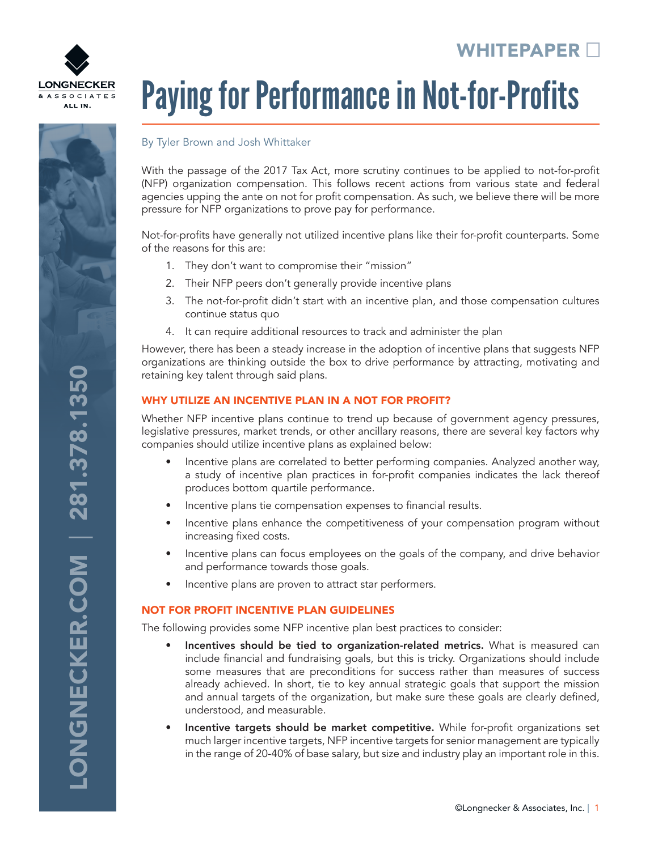# WHITEPAPER<sup>[1</sup>]



# **ONGNECKER.COM | 281.378.1350** LONGNECKER.COM | 281.378.1350

# Paying for Performance in Not-for-Profits

### By Tyler Brown and Josh Whittaker

With the passage of the 2017 Tax Act, more scrutiny continues to be applied to not-for-profit (NFP) organization compensation. This follows recent actions from various state and federal agencies upping the ante on not for profit compensation. As such, we believe there will be more pressure for NFP organizations to prove pay for performance.

Not-for-profits have generally not utilized incentive plans like their for-profit counterparts. Some of the reasons for this are:

- 1. They don't want to compromise their "mission"
- 2. Their NFP peers don't generally provide incentive plans
- 3. The not-for-profit didn't start with an incentive plan, and those compensation cultures continue status quo
- 4. It can require additional resources to track and administer the plan

However, there has been a steady increase in the adoption of incentive plans that suggests NFP organizations are thinking outside the box to drive performance by attracting, motivating and retaining key talent through said plans.

### WHY UTILIZE AN INCENTIVE PLAN IN A NOT FOR PROFIT?

Whether NFP incentive plans continue to trend up because of government agency pressures, legislative pressures, market trends, or other ancillary reasons, there are several key factors why companies should utilize incentive plans as explained below:

- Incentive plans are correlated to better performing companies. Analyzed another way, a study of incentive plan practices in for-profit companies indicates the lack thereof produces bottom quartile performance.
- Incentive plans tie compensation expenses to financial results.
- Incentive plans enhance the competitiveness of your compensation program without increasing fixed costs.
- Incentive plans can focus employees on the goals of the company, and drive behavior and performance towards those goals.
- Incentive plans are proven to attract star performers.

### NOT FOR PROFIT INCENTIVE PLAN GUIDELINES

The following provides some NFP incentive plan best practices to consider:

- Incentives should be tied to organization-related metrics. What is measured can include financial and fundraising goals, but this is tricky. Organizations should include some measures that are preconditions for success rather than measures of success already achieved. In short, tie to key annual strategic goals that support the mission and annual targets of the organization, but make sure these goals are clearly defined, understood, and measurable.
- Incentive targets should be market competitive. While for-profit organizations set much larger incentive targets, NFP incentive targets for senior management are typically in the range of 20-40% of base salary, but size and industry play an important role in this.